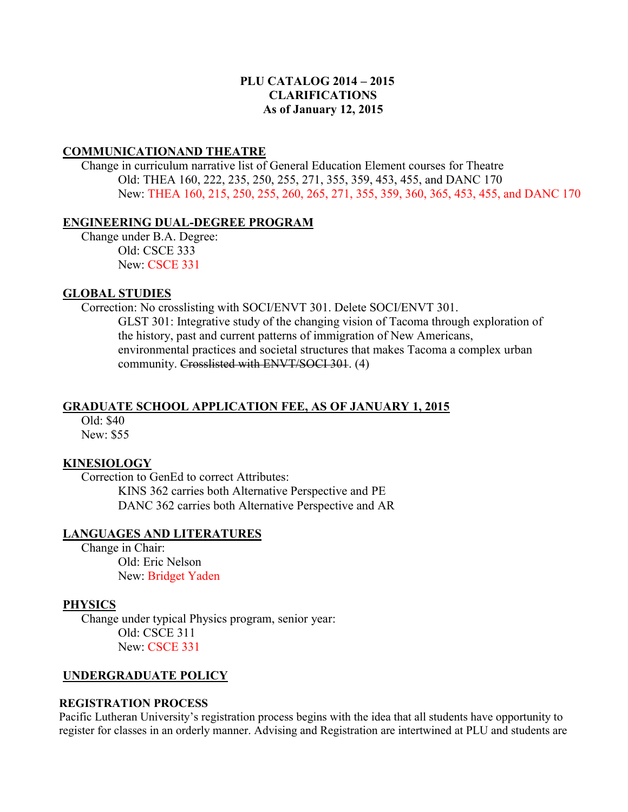### **PLU CATALOG 2014 – 2015 CLARIFICATIONS As of January 12, 2015**

#### **COMMUNICATIONAND THEATRE**

Change in curriculum narrative list of General Education Element courses for Theatre Old: THEA 160, 222, 235, 250, 255, 271, 355, 359, 453, 455, and DANC 170 New: THEA 160, 215, 250, 255, 260, 265, 271, 355, 359, 360, 365, 453, 455, and DANC 170

#### **ENGINEERING DUAL-DEGREE PROGRAM**

Change under B.A. Degree: Old: CSCE 333 New: CSCE 331

#### **GLOBAL STUDIES**

Correction: No crosslisting with SOCI/ENVT 301. Delete SOCI/ENVT 301. GLST 301: Integrative study of the changing vision of Tacoma through exploration of the history, past and current patterns of immigration of New Americans, environmental practices and societal structures that makes Tacoma a complex urban community. Crosslisted with ENVT/SOCI 301. (4)

#### **GRADUATE SCHOOL APPLICATION FEE, AS OF JANUARY 1, 2015**

Old: \$40 New: \$55

#### **KINESIOLOGY**

Correction to GenEd to correct Attributes: KINS 362 carries both Alternative Perspective and PE DANC 362 carries both Alternative Perspective and AR

#### **LANGUAGES AND LITERATURES**

Change in Chair: Old: Eric Nelson New: Bridget Yaden

#### **PHYSICS**

Change under typical Physics program, senior year: Old: CSCE 311 New: CSCE 331

#### **UNDERGRADUATE POLICY**

#### **REGISTRATION PROCESS**

Pacific Lutheran University's registration process begins with the idea that all students have opportunity to register for classes in an orderly manner. Advising and Registration are intertwined at PLU and students are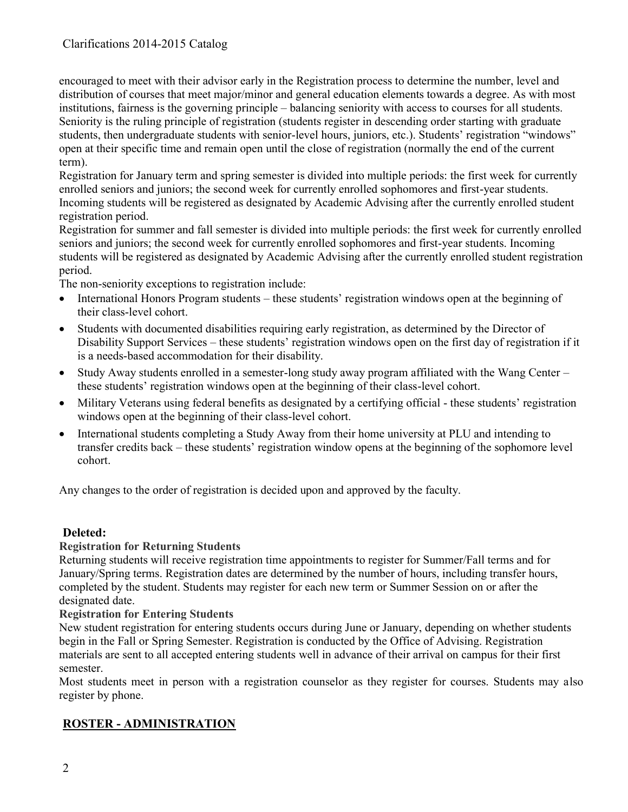encouraged to meet with their advisor early in the Registration process to determine the number, level and distribution of courses that meet major/minor and general education elements towards a degree. As with most institutions, fairness is the governing principle – balancing seniority with access to courses for all students. Seniority is the ruling principle of registration (students register in descending order starting with graduate students, then undergraduate students with senior-level hours, juniors, etc.). Students' registration "windows" open at their specific time and remain open until the close of registration (normally the end of the current term).

Registration for January term and spring semester is divided into multiple periods: the first week for currently enrolled seniors and juniors; the second week for currently enrolled sophomores and first-year students. Incoming students will be registered as designated by Academic Advising after the currently enrolled student registration period.

Registration for summer and fall semester is divided into multiple periods: the first week for currently enrolled seniors and juniors; the second week for currently enrolled sophomores and first-year students. Incoming students will be registered as designated by Academic Advising after the currently enrolled student registration period.

The non-seniority exceptions to registration include:

- International Honors Program students these students' registration windows open at the beginning of their class-level cohort.
- Students with documented disabilities requiring early registration, as determined by the Director of Disability Support Services – these students' registration windows open on the first day of registration if it is a needs-based accommodation for their disability.
- Study Away students enrolled in a semester-long study away program affiliated with the Wang Center these students' registration windows open at the beginning of their class-level cohort.
- Military Veterans using federal benefits as designated by a certifying official these students' registration windows open at the beginning of their class-level cohort.
- International students completing a Study Away from their home university at PLU and intending to transfer credits back – these students' registration window opens at the beginning of the sophomore level cohort.

Any changes to the order of registration is decided upon and approved by the faculty.

# **Deleted:**

## **Registration for Returning Students**

Returning students will receive registration time appointments to register for Summer/Fall terms and for January/Spring terms. Registration dates are determined by the number of hours, including transfer hours, completed by the student. Students may register for each new term or Summer Session on or after the designated date.

## **Registration for Entering Students**

New student registration for entering students occurs during June or January, depending on whether students begin in the Fall or Spring Semester. Registration is conducted by the Office of Advising. Registration materials are sent to all accepted entering students well in advance of their arrival on campus for their first semester.

Most students meet in person with a registration counselor as they register for courses. Students may also register by phone.

# **ROSTER - ADMINISTRATION**